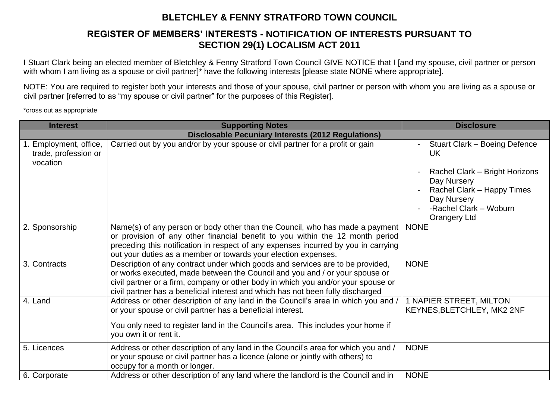## **BLETCHLEY & FENNY STRATFORD TOWN COUNCIL**

## **REGISTER OF MEMBERS' INTERESTS - NOTIFICATION OF INTERESTS PURSUANT TO SECTION 29(1) LOCALISM ACT 2011**

I Stuart Clark being an elected member of Bletchley & Fenny Stratford Town Council GIVE NOTICE that I [and my spouse, civil partner or person with whom I am living as a spouse or civil partner]\* have the following interests [please state NONE where appropriate].

NOTE: You are required to register both your interests and those of your spouse, civil partner or person with whom you are living as a spouse or civil partner [referred to as "my spouse or civil partner" for the purposes of this Register].

\*cross out as appropriate

| <b>Interest</b>                                            | <b>Supporting Notes</b>                                                                                                                                                                                                                                                                                                               | <b>Disclosure</b>                                                                                                                                                                                           |  |
|------------------------------------------------------------|---------------------------------------------------------------------------------------------------------------------------------------------------------------------------------------------------------------------------------------------------------------------------------------------------------------------------------------|-------------------------------------------------------------------------------------------------------------------------------------------------------------------------------------------------------------|--|
| <b>Disclosable Pecuniary Interests (2012 Regulations)</b>  |                                                                                                                                                                                                                                                                                                                                       |                                                                                                                                                                                                             |  |
| 1. Employment, office,<br>trade, profession or<br>vocation | Carried out by you and/or by your spouse or civil partner for a profit or gain                                                                                                                                                                                                                                                        | Stuart Clark - Boeing Defence<br>$\blacksquare$<br><b>UK</b><br>Rachel Clark - Bright Horizons<br>Day Nursery<br>Rachel Clark - Happy Times<br>Day Nursery<br>-Rachel Clark - Woburn<br><b>Orangery Ltd</b> |  |
| 2. Sponsorship                                             | Name(s) of any person or body other than the Council, who has made a payment<br>or provision of any other financial benefit to you within the 12 month period<br>preceding this notification in respect of any expenses incurred by you in carrying<br>out your duties as a member or towards your election expenses.                 | <b>NONE</b>                                                                                                                                                                                                 |  |
| 3. Contracts                                               | Description of any contract under which goods and services are to be provided,<br>or works executed, made between the Council and you and / or your spouse or<br>civil partner or a firm, company or other body in which you and/or your spouse or<br>civil partner has a beneficial interest and which has not been fully discharged | <b>NONE</b>                                                                                                                                                                                                 |  |
| 4. Land                                                    | Address or other description of any land in the Council's area in which you and /<br>or your spouse or civil partner has a beneficial interest.<br>You only need to register land in the Council's area. This includes your home if<br>you own it or rent it.                                                                         | 1 NAPIER STREET, MILTON<br>KEYNES, BLETCHLEY, MK2 2NF                                                                                                                                                       |  |
| 5. Licences                                                | Address or other description of any land in the Council's area for which you and /<br>or your spouse or civil partner has a licence (alone or jointly with others) to<br>occupy for a month or longer.                                                                                                                                | <b>NONE</b>                                                                                                                                                                                                 |  |
| 6. Corporate                                               | Address or other description of any land where the landlord is the Council and in                                                                                                                                                                                                                                                     | <b>NONE</b>                                                                                                                                                                                                 |  |